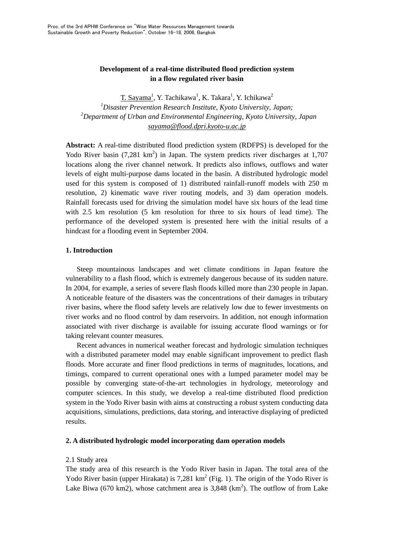# **Development of a real-time distributed flood prediction system in a flow regulated river basin**

T. Sayama<sup>1</sup>, Y. Tachikawa<sup>1</sup>, K. Takara<sup>1</sup>, Y. Ichikawa<sup>2</sup> *1 Disaster Prevention Research Institute, Kyoto University, Japan; 2 Department of Urban and Environmental Engineering, Kyoto University, Japan sayama@flood.dpri.kyoto-u.ac.jp*

**Abstract:** A real-time distributed flood prediction system (RDFPS) is developed for the Yodo River basin  $(7,281 \text{ km}^2)$  in Japan. The system predicts river discharges at 1,707 locations along the river channel network. It predicts also inflows, outflows and water levels of eight multi-purpose dams located in the basin. A distributed hydrologic model used for this system is composed of 1) distributed rainfall-runoff models with 250 m resolution, 2) kinematic wave river routing models, and 3) dam operation models. Rainfall forecasts used for driving the simulation model have six hours of the lead time with 2.5 km resolution (5 km resolution for three to six hours of lead time). The performance of the developed system is presented here with the initial results of a hindcast for a flooding event in September 2004.

## **1. Introduction**

 Steep mountainous landscapes and wet climate conditions in Japan feature the vulnerability to a flash flood, which is extremely dangerous because of its sudden nature. In 2004, for example, a series of severe flash floods killed more than 230 people in Japan. A noticeable feature of the disasters was the concentrations of their damages in tributary river basins, where the flood safety levels are relatively low due to fewer investments on river works and no flood control by dam reservoirs. In addition, not enough information associated with river discharge is available for issuing accurate flood warnings or for taking relevant counter measures.

 Recent advances in numerical weather forecast and hydrologic simulation techniques with a distributed parameter model may enable significant improvement to predict flash floods. More accurate and finer flood predictions in terms of magnitudes, locations, and timings, compared to current operational ones with a lumped parameter model may be possible by converging state-of-the-art technologies in hydrology, meteorology and computer sciences. In this study, we develop a real-time distributed flood prediction system in the Yodo River basin with aims at constructing a robust system conducting data acquisitions, simulations, predictions, data storing, and interactive displaying of predicted results.

## **2. A distributed hydrologic model incorporating dam operation models**

### 2.1 Study area

The study area of this research is the Yodo River basin in Japan. The total area of the Yodo River basin (upper Hirakata) is  $7,281 \text{ km}^2$  (Fig. 1). The origin of the Yodo River is Lake Biwa (670 km2), whose catchment area is  $3,848$  (km<sup>2</sup>). The outflow of from Lake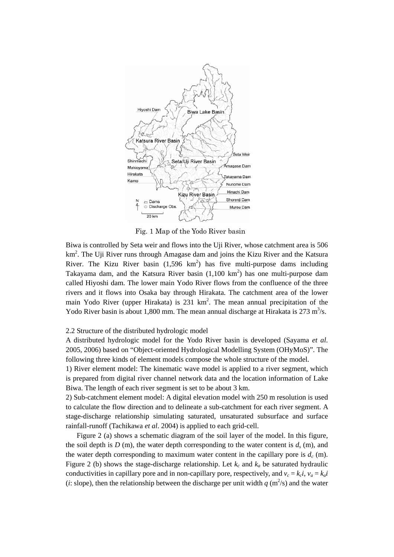

Fig. 1 Map of the Yodo River basin

Biwa is controlled by Seta weir and flows into the Uji River, whose catchment area is 506  $km<sup>2</sup>$ . The Uji River runs through Amagase dam and joins the Kizu River and the Katsura River. The Kizu River basin  $(1,596 \text{ km}^2)$  has five multi-purpose dams including Takayama dam, and the Katsura River basin  $(1,100 \text{ km}^2)$  has one multi-purpose dam called Hiyoshi dam. The lower main Yodo River flows from the confluence of the three rivers and it flows into Osaka bay through Hirakata. The catchment area of the lower main Yodo River (upper Hirakata) is  $231 \text{ km}^2$ . The mean annual precipitation of the Yodo River basin is about 1,800 mm. The mean annual discharge at Hirakata is  $273 \text{ m}^3/\text{s}$ .

2.2 Structure of the distributed hydrologic model

A distributed hydrologic model for the Yodo River basin is developed (Sayama *et al*. 2005, 2006) based on "Object-oriented Hydrological Modelling System (OHyMoS)". The following three kinds of element models compose the whole structure of the model.

1) River element model: The kinematic wave model is applied to a river segment, which is prepared from digital river channel network data and the location information of Lake Biwa. The length of each river segment is set to be about 3 km.

2) Sub-catchment element model: A digital elevation model with 250 m resolution is used to calculate the flow direction and to delineate a sub-catchment for each river segment. A stage-discharge relationship simulating saturated, unsaturated subsurface and surface rainfall-runoff (Tachikawa *et al*. 2004) is applied to each grid-cell.

Figure 2 (a) shows a schematic diagram of the soil layer of the model. In this figure, the soil depth is  $D(m)$ , the water depth corresponding to the water content is  $d<sub>s</sub>$  (m), and the water depth corresponding to maximum water content in the capillary pore is  $d_c$  (m). Figure 2 (b) shows the stage-discharge relationship. Let  $k_c$  and  $k_a$  be saturated hydraulic conductivities in capillary pore and in non-capillary pore, respectively, and  $v_c = k_c i$ ,  $v_a = k_a i$ (*i*: slope), then the relationship between the discharge per unit width  $q$  (m<sup>2</sup>/s) and the water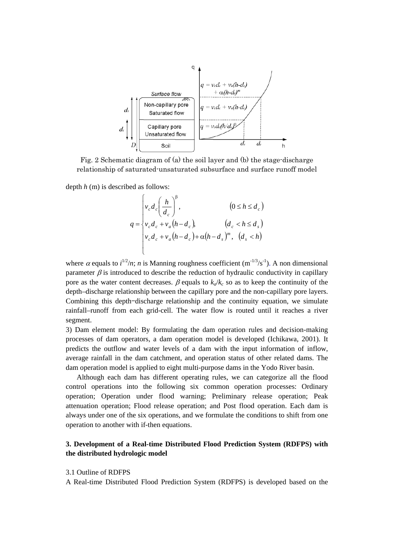

Fig. 2 Schematic diagram of (a) the soil layer and (b) the stage-discharge relationship of saturated-unsaturated subsurface and surface runoff model

depth *h* (m) is described as follows:

$$
q = \begin{cases} v_c d_c \left(\frac{h}{d_c}\right)^{\beta}, & (0 \le h \le d_c) \\ v_c d_c + v_a (h - d_c), & (d_c < h \le d_s) \\ v_c d_c + v_a (h - d_c) + \alpha (h - d_s)^m, & (d_s < h) \end{cases}
$$

where  $\alpha$  equals to  $i^{1/2}/n$ ; *n* is Manning roughness coefficient (m<sup>-1/3</sup>/s<sup>-1</sup>). A non dimensional parameter  $\beta$  is introduced to describe the reduction of hydraulic conductivity in capillary pore as the water content decreases.  $\beta$  equals to  $k_a/k_c$  so as to keep the continuity of the depth–discharge relationship between the capillary pore and the non-capillary pore layers. Combining this depth–discharge relationship and the continuity equation, we simulate rainfall–runoff from each grid-cell. The water flow is routed until it reaches a river segment.

3) Dam element model: By formulating the dam operation rules and decision-making processes of dam operators, a dam operation model is developed (Ichikawa, 2001). It predicts the outflow and water levels of a dam with the input information of inflow, average rainfall in the dam catchment, and operation status of other related dams. The dam operation model is applied to eight multi-purpose dams in the Yodo River basin.

Although each dam has different operating rules, we can categorize all the flood control operations into the following six common operation processes: Ordinary operation; Operation under flood warning; Preliminary release operation; Peak attenuation operation; Flood release operation; and Post flood operation. Each dam is always under one of the six operations, and we formulate the conditions to shift from one operation to another with if-then equations.

## **3. Development of a Real-time Distributed Flood Prediction System (RDFPS) with the distributed hydrologic model**

#### 3.1 Outline of RDFPS

A Real-time Distributed Flood Prediction System (RDFPS) is developed based on the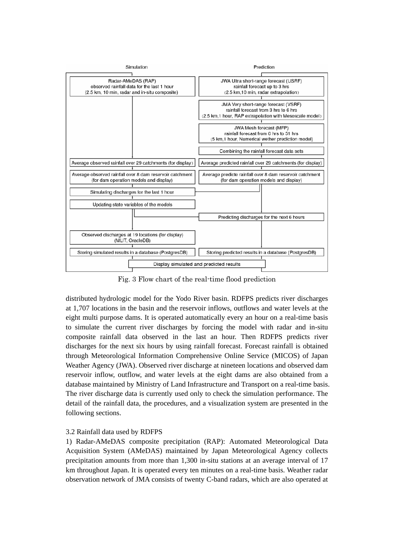

Fig. 3 Flow chart of the real-time flood prediction

distributed hydrologic model for the Yodo River basin. RDFPS predicts river discharges at 1,707 locations in the basin and the reservoir inflows, outflows and water levels at the eight multi purpose dams. It is operated automatically every an hour on a real-time basis to simulate the current river discharges by forcing the model with radar and in-situ composite rainfall data observed in the last an hour. Then RDFPS predicts river discharges for the next six hours by using rainfall forecast. Forecast rainfall is obtained through Meteorological Information Comprehensive Online Service (MICOS) of Japan Weather Agency (JWA). Observed river discharge at nineteen locations and observed dam reservoir inflow, outflow, and water levels at the eight dams are also obtained from a database maintained by Ministry of Land Infrastructure and Transport on a real-time basis. The river discharge data is currently used only to check the simulation performance. The detail of the rainfall data, the procedures, and a visualization system are presented in the following sections.

# 3.2 Rainfall data used by RDFPS

1) Radar-AMeDAS composite precipitation (RAP): Automated Meteorological Data Acquisition System (AMeDAS) maintained by Japan Meteorological Agency collects precipitation amounts from more than 1,300 in-situ stations at an average interval of 17 km throughout Japan. It is operated every ten minutes on a real-time basis. Weather radar observation network of JMA consists of twenty C-band radars, which are also operated at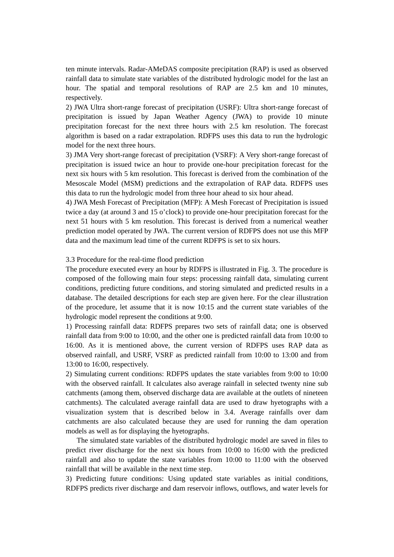ten minute intervals. Radar-AMeDAS composite precipitation (RAP) is used as observed rainfall data to simulate state variables of the distributed hydrologic model for the last an hour. The spatial and temporal resolutions of RAP are 2.5 km and 10 minutes, respectively.

2) JWA Ultra short-range forecast of precipitation (USRF): Ultra short-range forecast of precipitation is issued by Japan Weather Agency (JWA) to provide 10 minute precipitation forecast for the next three hours with 2.5 km resolution. The forecast algorithm is based on a radar extrapolation. RDFPS uses this data to run the hydrologic model for the next three hours.

3) JMA Very short-range forecast of precipitation (VSRF): A Very short-range forecast of precipitation is issued twice an hour to provide one-hour precipitation forecast for the next six hours with 5 km resolution. This forecast is derived from the combination of the Mesoscale Model (MSM) predictions and the extrapolation of RAP data. RDFPS uses this data to run the hydrologic model from three hour ahead to six hour ahead.

4) JWA Mesh Forecast of Precipitation (MFP): A Mesh Forecast of Precipitation is issued twice a day (at around 3 and 15 o'clock) to provide one-hour precipitation forecast for the next 51 hours with 5 km resolution. This forecast is derived from a numerical weather prediction model operated by JWA. The current version of RDFPS does not use this MFP data and the maximum lead time of the current RDFPS is set to six hours.

#### 3.3 Procedure for the real-time flood prediction

The procedure executed every an hour by RDFPS is illustrated in Fig. 3. The procedure is composed of the following main four steps: processing rainfall data, simulating current conditions, predicting future conditions, and storing simulated and predicted results in a database. The detailed descriptions for each step are given here. For the clear illustration of the procedure, let assume that it is now 10:15 and the current state variables of the hydrologic model represent the conditions at 9:00.

1) Processing rainfall data: RDFPS prepares two sets of rainfall data; one is observed rainfall data from 9:00 to 10:00, and the other one is predicted rainfall data from 10:00 to 16:00. As it is mentioned above, the current version of RDFPS uses RAP data as observed rainfall, and USRF, VSRF as predicted rainfall from 10:00 to 13:00 and from 13:00 to 16:00, respectively.

2) Simulating current conditions: RDFPS updates the state variables from 9:00 to 10:00 with the observed rainfall. It calculates also average rainfall in selected twenty nine sub catchments (among them, observed discharge data are available at the outlets of nineteen catchments). The calculated average rainfall data are used to draw hyetographs with a visualization system that is described below in 3.4. Average rainfalls over dam catchments are also calculated because they are used for running the dam operation models as well as for displaying the hyetographs.

The simulated state variables of the distributed hydrologic model are saved in files to predict river discharge for the next six hours from 10:00 to 16:00 with the predicted rainfall and also to update the state variables from 10:00 to 11:00 with the observed rainfall that will be available in the next time step.

3) Predicting future conditions: Using updated state variables as initial conditions, RDFPS predicts river discharge and dam reservoir inflows, outflows, and water levels for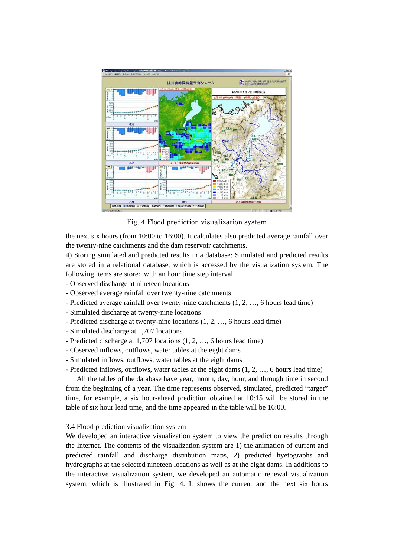

Fig. 4 Flood prediction visualization system

the next six hours (from 10:00 to 16:00). It calculates also predicted average rainfall over the twenty-nine catchments and the dam reservoir catchments.

4) Storing simulated and predicted results in a database: Simulated and predicted results are stored in a relational database, which is accessed by the visualization system. The following items are stored with an hour time step interval.

- Observed discharge at nineteen locations
- Observed average rainfall over twenty-nine catchments
- Predicted average rainfall over twenty-nine catchments (1, 2, …, 6 hours lead time)
- Simulated discharge at twenty-nine locations
- Predicted discharge at twenty-nine locations (1, 2, …, 6 hours lead time)
- Simulated discharge at 1,707 locations
- Predicted discharge at 1,707 locations (1, 2, …, 6 hours lead time)
- Observed inflows, outflows, water tables at the eight dams
- Simulated inflows, outflows, water tables at the eight dams
- Predicted inflows, outflows, water tables at the eight dams (1, 2, …, 6 hours lead time)

All the tables of the database have year, month, day, hour, and through time in second from the beginning of a year. The time represents observed, simulated, predicted "target" time, for example, a six hour-ahead prediction obtained at 10:15 will be stored in the table of six hour lead time, and the time appeared in the table will be 16:00.

## 3.4 Flood prediction visualization system

We developed an interactive visualization system to view the prediction results through the Internet. The contents of the visualization system are 1) the animation of current and predicted rainfall and discharge distribution maps, 2) predicted hyetographs and hydrographs at the selected nineteen locations as well as at the eight dams. In additions to the interactive visualization system, we developed an automatic renewal visualization system, which is illustrated in Fig. 4. It shows the current and the next six hours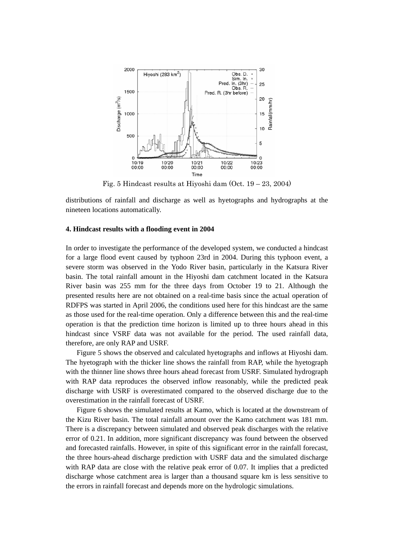

Fig. 5 Hindcast results at Hiyoshi dam (Oct. 19 – 23, 2004)

distributions of rainfall and discharge as well as hyetographs and hydrographs at the nineteen locations automatically.

## **4. Hindcast results with a flooding event in 2004**

In order to investigate the performance of the developed system, we conducted a hindcast for a large flood event caused by typhoon 23rd in 2004. During this typhoon event, a severe storm was observed in the Yodo River basin, particularly in the Katsura River basin. The total rainfall amount in the Hiyoshi dam catchment located in the Katsura River basin was 255 mm for the three days from October 19 to 21. Although the presented results here are not obtained on a real-time basis since the actual operation of RDFPS was started in April 2006, the conditions used here for this hindcast are the same as those used for the real-time operation. Only a difference between this and the real-time operation is that the prediction time horizon is limited up to three hours ahead in this hindcast since VSRF data was not available for the period. The used rainfall data, therefore, are only RAP and USRF.

Figure 5 shows the observed and calculated hyetographs and inflows at Hiyoshi dam. The hyetograph with the thicker line shows the rainfall from RAP, while the hyetograph with the thinner line shows three hours ahead forecast from USRF. Simulated hydrograph with RAP data reproduces the observed inflow reasonably, while the predicted peak discharge with USRF is overestimated compared to the observed discharge due to the overestimation in the rainfall forecast of USRF.

Figure 6 shows the simulated results at Kamo, which is located at the downstream of the Kizu River basin. The total rainfall amount over the Kamo catchment was 181 mm. There is a discrepancy between simulated and observed peak discharges with the relative error of 0.21. In addition, more significant discrepancy was found between the observed and forecasted rainfalls. However, in spite of this significant error in the rainfall forecast, the three hours-ahead discharge prediction with USRF data and the simulated discharge with RAP data are close with the relative peak error of 0.07. It implies that a predicted discharge whose catchment area is larger than a thousand square km is less sensitive to the errors in rainfall forecast and depends more on the hydrologic simulations.